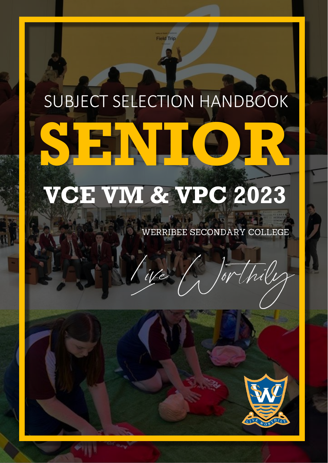# SUBJECT SELECTION HANDBOOK **SENIOR**

**Field Trip** 

## **VCE VM & VPC 2023**

iVe

WERRIBEE SECONDARY COLLEGE

LIVE WOR

Mhile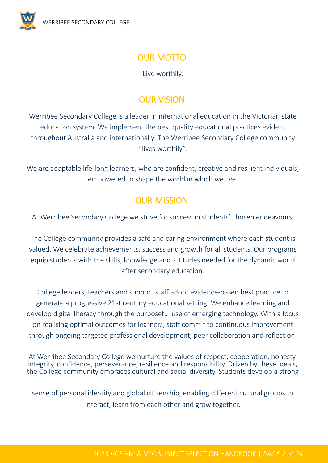

## OUR MOTTO

Live worthily.

## OUR VISION

Werribee Secondary College is a leader in international education in the Victorian state education system. We implement the best quality educational practices evident throughout Australia and internationally. The Werribee Secondary College community "lives worthily".

We are adaptable life-long learners, who are confident, creative and resilient individuals, empowered to shape the world in which we live.

### OUR MISSION

At Werribee Secondary College we strive for success in students' chosen endeavours.

The College community provides a safe and caring environment where each student is valued. We celebrate achievements, success and growth for all students. Our programs equip students with the skills, knowledge and attitudes needed for the dynamic world after secondary education.

College leaders, teachers and support staff adopt evidence-based best practice to generate a progressive 21st century educational setting. We enhance learning and develop digital literacy through the purposeful use of emerging technology. With a focus on realising optimal outcomes for learners, staff commit to continuous improvement through ongoing targeted professional development, peer collaboration and reflection.

At Werribee Secondary College we nurture the values of respect, cooperation, honesty, integrity, confidence, perseverance, resilience and responsibility. Driven by these ideals, the College community embraces cultural and social diversity. Students develop a strong

sense of personal identity and global citizenship, enabling different cultural groups to interact, learn from each other and grow together.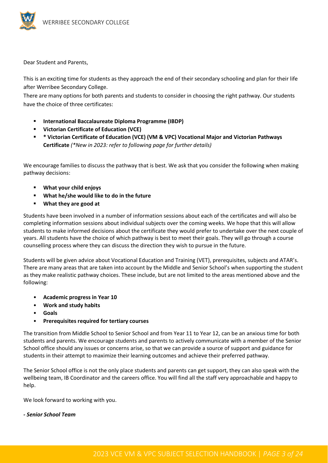

Dear Student and Parents,

This is an exciting time for students as they approach the end of their secondary schooling and plan for their life after Werribee Secondary College.

There are many options for both parents and students to consider in choosing the right pathway. Our students have the choice of three certificates:

- **International Baccalaureate Diploma Programme (IBDP)**
- **Victorian Certificate of Education (VCE)**
- **\* Victorian Certificate of Education (VCE) (VM & VPC) Vocational Major and Victorian Pathways Certificate** *(\*New in 2023: refer to following page for further details)*

We encourage families to discuss the pathway that is best. We ask that you consider the following when making pathway decisions:

- **What your child enjoys**
- **What he/she would like to do in the future**
- **What they are good at**

Students have been involved in a number of information sessions about each of the certificates and will also be completing information sessions about individual subjects over the coming weeks. We hope that this will allow students to make informed decisions about the certificate they would prefer to undertake over the next couple of years. All students have the choice of which pathway is best to meet their goals. They will go through a course counselling process where they can discuss the direction they wish to pursue in the future.

Students will be given advice about Vocational Education and Training (VET), prerequisites, subjects and ATAR's. There are many areas that are taken into account by the Middle and Senior School's when supporting the student as they make realistic pathway choices. These include, but are not limited to the areas mentioned above and the following:

- **Academic progress in Year 10**
- **Work and study habits**
- **Goals**
- **Prerequisites required for tertiary courses**

The transition from Middle School to Senior School and from Year 11 to Year 12, can be an anxious time for both students and parents. We encourage students and parents to actively communicate with a member of the Senior School office should any issues or concerns arise, so that we can provide a source of support and guidance for students in their attempt to maximize their learning outcomes and achieve their preferred pathway.

The Senior School office is not the only place students and parents can get support, they can also speak with the wellbeing team, IB Coordinator and the careers office. You will find all the staff very approachable and happy to help.

We look forward to working with you.

#### *- Senior School Team*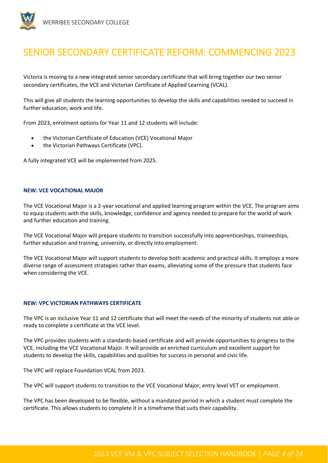

## SENIOR SECONDARY CERTIFICATE REFORM: COMMENCING 2023

Victoria is moving to a new integrated senior secondary certificate that will bring together our two senior secondary certificates, the VCE and Victorian Certificate of Applied Learning (VCAL).

This will give all students the learning opportunities to develop the skills and capabilities needed to succeed in further education, work and life.

From 2023, enrolment options for Year 11 and 12 students will include:

- the Victorian Certificate of Education (VCE) Vocational Major
- the Victorian Pathways Certificate (VPC).

A fully integrated VCE will be implemented from 2025.

#### **NEW: VCE VOCATIONAL MAJOR**

The VCE Vocational Major is a 2-year vocational and applied learning program within the VCE. The program aims to equip students with the skills, knowledge, confidence and agency needed to prepare for the world of work and further education and training.

The VCE Vocational Major will prepare students to transition successfully into apprenticeships, traineeships, further education and training, university, or directly into employment.

The VCE Vocational Major will support students to develop both academic and practical skills. It employs a more diverse range of assessment strategies rather than exams, alleviating some of the pressure that students face when considering the VCE.

#### **NEW: VPC VICTORIAN PATHWAYS CERTIFICATE**

The VPC is an inclusive Year 11 and 12 certificate that will meet the needs of the minority of students not able or ready to complete a certificate at the VCE level.

The VPC provides students with a standards-based certificate and will provide opportunities to progress to the VCE, including the VCE Vocational Major. It will provide an enriched curriculum and excellent support for students to develop the skills, capabilities and qualities for success in personal and civic life.

The VPC will replace Foundation VCAL from 2023.

The VPC will support students to transition to the VCE Vocational Major, entry level VET or employment.

The VPC has been developed to be flexible, without a mandated period in which a student must complete the certificate. This allows students to complete it in a timeframe that suits their capability.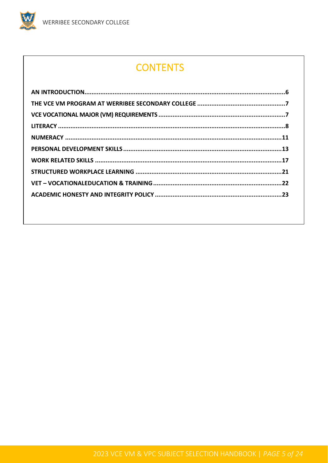W

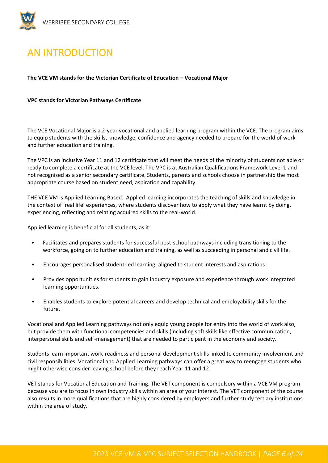

## <span id="page-5-0"></span>AN INTRODUCTION

**The VCE VM stands for the Victorian Certificate of Education – Vocational Major**

#### **VPC stands for Victorian Pathways Certificate**

The VCE Vocational Major is a 2-year vocational and applied learning program within the VCE. The program aims to equip students with the skills, knowledge, confidence and agency needed to prepare for the world of work and further education and training.

The VPC is an inclusive Year 11 and 12 certificate that will meet the needs of the minority of students not able or ready to complete a certificate at the VCE level. The VPC is at Australian Qualifications Framework Level 1 and not recognised as a senior secondary certificate. Students, parents and schools choose in partnership the most appropriate course based on student need, aspiration and capability.

THE VCE VM is Applied Learning Based. Applied learning incorporates the teaching of skills and knowledge in the context of 'real life' experiences, where students discover how to apply what they have learnt by doing, experiencing, reflecting and relating acquired skills to the real-world.

Applied learning is beneficial for all students, as it:

- Facilitates and prepares students for successful post-school pathways including transitioning to the workforce, going on to further education and training, as well as succeeding in personal and civil life.
- Encourages personalised student-led learning, aligned to student interests and aspirations.
- Provides opportunities for students to gain industry exposure and experience through work integrated learning opportunities.
- Enables students to explore potential careers and develop technical and employability skills for the future.

Vocational and Applied Learning pathways not only equip young people for entry into the world of work also, but provide them with functional competencies and skills (including soft skills like effective communication, interpersonal skills and self-management) that are needed to participant in the economy and society.

Students learn important work-readiness and personal development skills linked to community involvement and civil responsibilities. Vocational and Applied Learning pathways can offer a great way to reengage students who might otherwise consider leaving school before they reach Year 11 and 12.

VET stands for Vocational Education and Training. The VET component is compulsory within a VCE VM program because you are to focus in own industry skills within an area of your interest. The VET component of the course also results in more qualifications that are highly considered by employers and further study tertiary institutions within the area of study.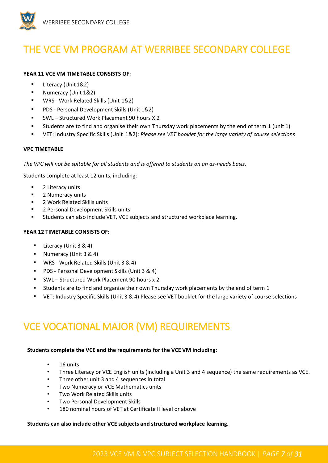

## <span id="page-6-0"></span>THE VCE VM PROGRAM AT WERRIBEE SECONDARY COLLEGE

#### **YEAR 11 VCE VM TIMETABLE CONSISTS OF:**

- Literacy (Unit 1&2)
- Numeracy (Unit 1&2)
- WRS Work Related Skills (Unit 1&2)
- PDS Personal Development Skills (Unit 1&2)
- SWL Structured Work Placement 90 hours X 2
- Students are to find and organise their own Thursday work placements by the end of term 1 (unit 1)
- VET: Industry Specific Skills (Unit 1&2): *Please see VET booklet for the large variety of course selections*

#### **VPC TIMETABLE**

*The VPC will not be suitable for all students and is offered to students on an as-needs basis.*

Students complete at least 12 units, including:

- 2 Literacy units
- 2 Numeracy units
- 2 Work Related Skills units
- 2 Personal Development Skills units
- Students can also include VET, VCE subjects and structured workplace learning.

#### **YEAR 12 TIMETABLE CONSISTS OF:**

- Literacy (Unit 3 & 4)
- Numeracy (Unit 3 & 4)
- WRS Work Related Skills (Unit 3 & 4)
- PDS Personal Development Skills (Unit 3 & 4)
- SWL Structured Work Placement 90 hours x 2
- Students are to find and organise their own Thursday work placements by the end of term 1
- VET: Industry Specific Skills (Unit 3 & 4) Please see VET booklet for the large variety of course selections

## <span id="page-6-1"></span>VCE VOCATIONAL MAJOR (VM) REQUIREMENTS

#### **Students complete the VCE and the requirements for the VCE VM including:**

- 16 units
- Three Literacy or VCE English units (including a Unit 3 and 4 sequence) the same requirements as VCE.
- Three other unit 3 and 4 sequences in total
- Two Numeracy or VCE Mathematics units
- Two Work Related Skills units
- Two Personal Development Skills
- 180 nominal hours of VET at Certificate II level or above

#### **Students can also include other VCE subjects and structured workplace learning.**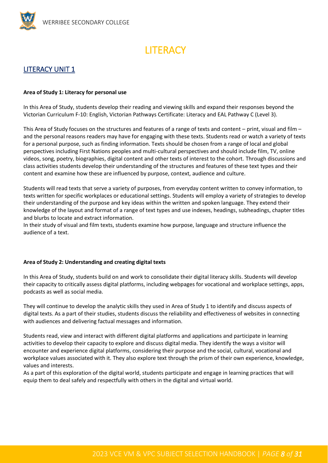<span id="page-7-0"></span>

## **LITERACY**

#### LITERACY UNIT 1

#### **Area of Study 1: Literacy for personal use**

In this Area of Study, students develop their reading and viewing skills and expand their responses beyond the Victorian Curriculum F-10: English, Victorian Pathways Certificate: Literacy and EAL Pathway C (Level 3).

This Area of Study focuses on the structures and features of a range of texts and content – print, visual and film – and the personal reasons readers may have for engaging with these texts. Students read or watch a variety of texts for a personal purpose, such as finding information. Texts should be chosen from a range of local and global perspectives including First Nations peoples and multi-cultural perspectives and should include film, TV, online videos, song, poetry, biographies, digital content and other texts of interest to the cohort. Through discussions and class activities students develop their understanding of the structures and features of these text types and their content and examine how these are influenced by purpose, context, audience and culture.

Students will read texts that serve a variety of purposes, from everyday content written to convey information, to texts written for specific workplaces or educational settings. Students will employ a variety of strategies to develop their understanding of the purpose and key ideas within the written and spoken language. They extend their knowledge of the layout and format of a range of text types and use indexes, headings, subheadings, chapter titles and blurbs to locate and extract information.

In their study of visual and film texts, students examine how purpose, language and structure influence the audience of a text.

#### **Area of Study 2: Understanding and creating digital texts**

In this Area of Study, students build on and work to consolidate their digital literacy skills. Students will develop their capacity to critically assess digital platforms, including webpages for vocational and workplace settings, apps, podcasts as well as social media.

They will continue to develop the analytic skills they used in Area of Study 1 to identify and discuss aspects of digital texts. As a part of their studies, students discuss the reliability and effectiveness of websites in connecting with audiences and delivering factual messages and information.

Students read, view and interact with different digital platforms and applications and participate in learning activities to develop their capacity to explore and discuss digital media. They identify the ways a visitor will encounter and experience digital platforms, considering their purpose and the social, cultural, vocational and workplace values associated with it. They also explore text through the prism of their own experience, knowledge, values and interests.

As a part of this exploration of the digital world, students participate and engage in learning practices that will equip them to deal safely and respectfully with others in the digital and virtual world.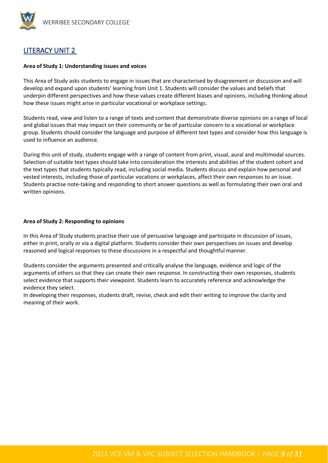

#### LITERACY UNIT 2

#### **Area of Study 1: Understanding issues and voices**

This Area of Study asks students to engage in issues that are characterised by disagreement or discussion and will develop and expand upon students' learning from Unit 1. Students will consider the values and beliefs that underpin different perspectives and how these values create different biases and opinions, including thinking about how these issues might arise in particular vocational or workplace settings.

Students read, view and listen to a range of texts and content that demonstrate diverse opinions on a range of local and global issues that may impact on their community or be of particular concern to a vocational or workplace group. Students should consider the language and purpose of different text types and consider how this language is used to influence an audience.

During this unit of study, students engage with a range of content from print, visual, aural and multimodal sources. Selection of suitable text types should take into consideration the interests and abilities of the student cohort and the text types that students typically read, including social media. Students discuss and explain how personal and vested interests, including those of particular vocations or workplaces, affect their own responses to an issue. Students practise note-taking and responding to short answer questions as well as formulating their own oral and written opinions.

#### **Area of Study 2: Responding to opinions**

In this Area of Study students practise their use of persuasive language and participate in discussion of issues, either in print, orally or via a digital platform. Students consider their own perspectives on issues and develop reasoned and logical responses to these discussions in a respectful and thoughtful manner.

Students consider the arguments presented and critically analyse the language, evidence and logic of the arguments of others so that they can create their own response. In constructing their own responses, students select evidence that supports their viewpoint. Students learn to accurately reference and acknowledge the evidence they select.

In developing their responses, students draft, revise, check and edit their writing to improve the clarity and meaning of their work.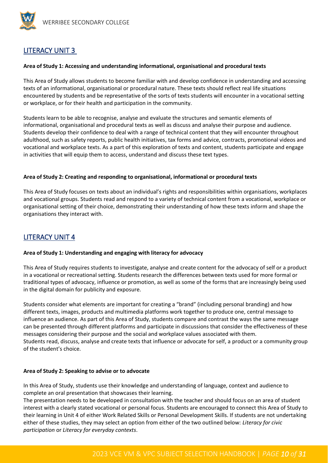

#### LITERACY UNIT 3

#### **Area of Study 1: Accessing and understanding informational, organisational and procedural texts**

This Area of Study allows students to become familiar with and develop confidence in understanding and accessing texts of an informational, organisational or procedural nature. These texts should reflect real life situations encountered by students and be representative of the sorts of texts students will encounter in a vocational setting or workplace, or for their health and participation in the community.

Students learn to be able to recognise, analyse and evaluate the structures and semantic elements of informational, organisational and procedural texts as well as discuss and analyse their purpose and audience. Students develop their confidence to deal with a range of technical content that they will encounter throughout adulthood, such as safety reports, public health initiatives, tax forms and advice, contracts, promotional videos and vocational and workplace texts. As a part of this exploration of texts and content, students participate and engage in activities that will equip them to access, understand and discuss these text types.

#### **Area of Study 2: Creating and responding to organisational, informational or procedural texts**

This Area of Study focuses on texts about an individual's rights and responsibilities within organisations, workplaces and vocational groups. Students read and respond to a variety of technical content from a vocational, workplace or organisational setting of their choice, demonstrating their understanding of how these texts inform and shape the organisations they interact with.

#### LITERACY UNIT 4

#### **Area of Study 1: Understanding and engaging with literacy for advocacy**

This Area of Study requires students to investigate, analyse and create content for the advocacy of self or a product in a vocational or recreational setting. Students research the differences between texts used for more formal or traditional types of advocacy, influence or promotion, as well as some of the forms that are increasingly being used in the digital domain for publicity and exposure.

Students consider what elements are important for creating a "brand" (including personal branding) and how different texts, images, products and multimedia platforms work together to produce one, central message to influence an audience. As part of this Area of Study, students compare and contrast the ways the same message can be presented through different platforms and participate in discussions that consider the effectiveness of these messages considering their purpose and the social and workplace values associated with them. Students read, discuss, analyse and create texts that influence or advocate for self, a product or a community group of the student's choice.

#### **Area of Study 2: Speaking to advise or to advocate**

In this Area of Study, students use their knowledge and understanding of language, context and audience to complete an oral presentation that showcases their learning.

The presentation needs to be developed in consultation with the teacher and should focus on an area of student interest with a clearly stated vocational or personal focus. Students are encouraged to connect this Area of Study to their learning in Unit 4 of either Work Related Skills or Personal Development Skills. If students are not undertaking either of these studies, they may select an option from either of the two outlined below: *Literacy for civic participation* or *Literacy for everyday contexts*.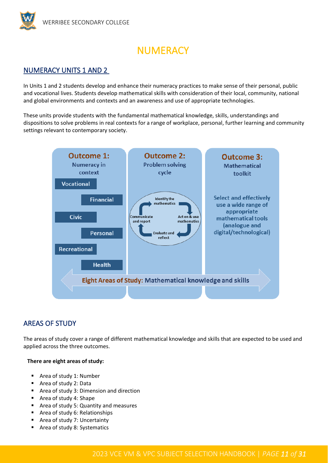

## **NUMERACY**

#### <span id="page-10-0"></span>NUMERACY UNITS 1 AND 2

In Units 1 and 2 students develop and enhance their numeracy practices to make sense of their personal, public and vocational lives. Students develop mathematical skills with consideration of their local, community, national and global environments and contexts and an awareness and use of appropriate technologies.

These units provide students with the fundamental mathematical knowledge, skills, understandings and dispositions to solve problems in real contexts for a range of workplace, personal, further learning and community settings relevant to contemporary society.



#### AREAS OF STUDY

The areas of study cover a range of different mathematical knowledge and skills that are expected to be used and applied across the three outcomes.

#### **There are eight areas of study:**

- Area of study 1: Number
- Area of study 2: Data
- Area of study 3: Dimension and direction
- Area of study 4: Shape
- Area of study 5: Quantity and measures
- Area of study 6: Relationships
- Area of study 7: Uncertainty
- Area of study 8: Systematics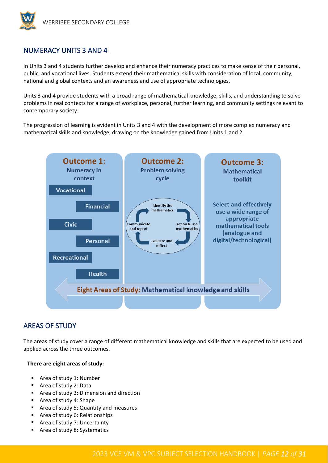

#### NUMERACY UNITS 3 AND 4

In Units 3 and 4 students further develop and enhance their numeracy practices to make sense of their personal, public, and vocational lives. Students extend their mathematical skills with consideration of local, community, national and global contexts and an awareness and use of appropriate technologies.

Units 3 and 4 provide students with a broad range of mathematical knowledge, skills, and understanding to solve problems in real contexts for a range of workplace, personal, further learning, and community settings relevant to contemporary society.

The progression of learning is evident in Units 3 and 4 with the development of more complex numeracy and mathematical skills and knowledge, drawing on the knowledge gained from Units 1 and 2.



#### AREAS OF STUDY

The areas of study cover a range of different mathematical knowledge and skills that are expected to be used and applied across the three outcomes.

#### **There are eight areas of study:**

- Area of study 1: Number
- Area of study 2: Data
- Area of study 3: Dimension and direction
- Area of study 4: Shape
- Area of study 5: Quantity and measures
- Area of study 6: Relationships
- Area of study 7: Uncertainty
- Area of study 8: Systematics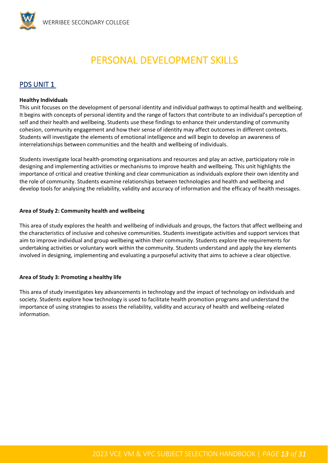## PERSONAL DEVELOPMENT SKILLS

#### <span id="page-12-0"></span>PDS UNIT 1

#### **Healthy Individuals**

This unit focuses on the development of personal identity and individual pathways to optimal health and wellbeing. It begins with concepts of personal identity and the range of factors that contribute to an individual's perception of self and their health and wellbeing. Students use these findings to enhance their understanding of community cohesion, community engagement and how their sense of identity may affect outcomes in different contexts. Students will investigate the elements of emotional intelligence and will begin to develop an awareness of interrelationships between communities and the health and wellbeing of individuals.

Students investigate local health-promoting organisations and resources and play an active, participatory role in designing and implementing activities or mechanisms to improve health and wellbeing. This unit highlights the importance of critical and creative thinking and clear communication as individuals explore their own identity and the role of community. Students examine relationships between technologies and health and wellbeing and develop tools for analysing the reliability, validity and accuracy of information and the efficacy of health messages.

#### **Area of Study 2: Community health and wellbeing**

This area of study explores the health and wellbeing of individuals and groups, the factors that affect wellbeing and the characteristics of inclusive and cohesive communities. Students investigate activities and support services that aim to improve individual and group wellbeing within their community. Students explore the requirements for undertaking activities or voluntary work within the community. Students understand and apply the key elements involved in designing, implementing and evaluating a purposeful activity that aims to achieve a clear objective.

#### **Area of Study 3: Promoting a healthy life**

This area of study investigates key advancements in technology and the impact of technology on individuals and society. Students explore how technology is used to facilitate health promotion programs and understand the importance of using strategies to assess the reliability, validity and accuracy of health and wellbeing-related information.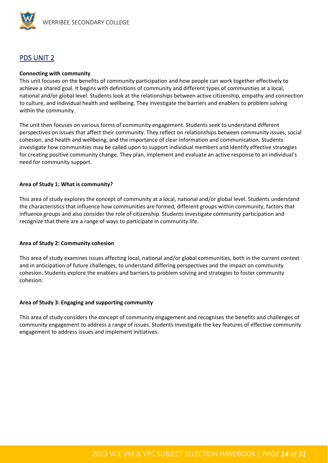

#### PDS UNIT 2

#### **Connecting with community**

This unit focuses on the benefits of community participation and how people can work together effectively to achieve a shared goal. It begins with definitions of community and different types of communities at a local, national and/or global level. Students look at the relationships between active citizenship, empathy and connection to culture, and individual health and wellbeing. They investigate the barriers and enablers to problem solving within the community.

The unit then focuses on various forms of community engagement. Students seek to understand different perspectives on issues that affect their community. They reflect on relationships between community issues, social cohesion, and health and wellbeing, and the importance of clear information and communication. Students investigate how communities may be called upon to support individual members and identify effective strategies for creating positive community change. They plan, implement and evaluate an active response to an individual's need for community support.

#### **Area of Study 1: What is community?**

This area of study explores the concept of community at a local, national and/or global level. Students understand the characteristics that influence how communities are formed, different groups within community, factors that influence groups and also consider the role of citizenship. Students investigate community participation and recognize that there are a range of ways to participate in community life.

#### **Area of Study 2: Community cohesion**

This area of study examines issues affecting local, national and/or global communities, both in the current context and in anticipation of future challenges, to understand differing perspectives and the impact on community cohesion. Students explore the enablers and barriers to problem solving and strategies to foster community cohesion.

#### **Area of Study 3: Engaging and supporting community**

This area of study considers the concept of community engagement and recognises the benefits and challenges of community engagement to address a range of issues. Students investigate the key features of effective community engagement to address issues and implement initiatives.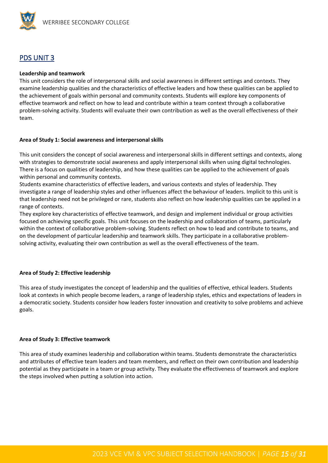

#### PDS UNIT 3

#### **Leadership and teamwork**

This unit considers the role of interpersonal skills and social awareness in different settings and contexts. They examine leadership qualities and the characteristics of effective leaders and how these qualities can be applied to the achievement of goals within personal and community contexts. Students will explore key components of effective teamwork and reflect on how to lead and contribute within a team context through a collaborative problem-solving activity. Students will evaluate their own contribution as well as the overall effectiveness of their team.

#### **Area of Study 1: Social awareness and interpersonal skills**

This unit considers the concept of social awareness and interpersonal skills in different settings and contexts, along with strategies to demonstrate social awareness and apply interpersonal skills when using digital technologies. There is a focus on qualities of leadership, and how these qualities can be applied to the achievement of goals within personal and community contexts.

Students examine characteristics of effective leaders, and various contexts and styles of leadership. They investigate a range of leadership styles and other influences affect the behaviour of leaders. Implicit to this unit is that leadership need not be privileged or rare, students also reflect on how leadership qualities can be applied in a range of contexts.

They explore key characteristics of effective teamwork, and design and implement individual or group activities focused on achieving specific goals. This unit focuses on the leadership and collaboration of teams, particularly within the context of collaborative problem-solving. Students reflect on how to lead and contribute to teams, and on the development of particular leadership and teamwork skills. They participate in a collaborative problemsolving activity, evaluating their own contribution as well as the overall effectiveness of the team.

#### **Area of Study 2: Effective leadership**

This area of study investigates the concept of leadership and the qualities of effective, ethical leaders. Students look at contexts in which people become leaders, a range of leadership styles, ethics and expectations of leaders in a democratic society. Students consider how leaders foster innovation and creativity to solve problems and achieve goals.

#### **Area of Study 3: Effective teamwork**

This area of study examines leadership and collaboration within teams. Students demonstrate the characteristics and attributes of effective team leaders and team members, and reflect on their own contribution and leadership potential as they participate in a team or group activity. They evaluate the effectiveness of teamwork and explore the steps involved when putting a solution into action.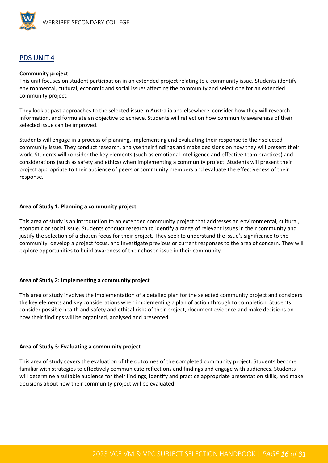

#### PDS UNIT 4

#### **Community project**

This unit focuses on student participation in an extended project relating to a community issue. Students identify environmental, cultural, economic and social issues affecting the community and select one for an extended community project.

They look at past approaches to the selected issue in Australia and elsewhere, consider how they will research information, and formulate an objective to achieve. Students will reflect on how community awareness of their selected issue can be improved.

Students will engage in a process of planning, implementing and evaluating their response to their selected community issue. They conduct research, analyse their findings and make decisions on how they will present their work. Students will consider the key elements (such as emotional intelligence and effective team practices) and considerations (such as safety and ethics) when implementing a community project. Students will present their project appropriate to their audience of peers or community members and evaluate the effectiveness of their response.

#### **Area of Study 1: Planning a community project**

This area of study is an introduction to an extended community project that addresses an environmental, cultural, economic or social issue. Students conduct research to identify a range of relevant issues in their community and justify the selection of a chosen focus for their project. They seek to understand the issue's significance to the community, develop a project focus, and investigate previous or current responses to the area of concern. They will explore opportunities to build awareness of their chosen issue in their community.

#### **Area of Study 2: Implementing a community project**

This area of study involves the implementation of a detailed plan for the selected community project and considers the key elements and key considerations when implementing a plan of action through to completion. Students consider possible health and safety and ethical risks of their project, document evidence and make decisions on how their findings will be organised, analysed and presented.

#### **Area of Study 3: Evaluating a community project**

This area of study covers the evaluation of the outcomes of the completed community project. Students become familiar with strategies to effectively communicate reflections and findings and engage with audiences. Students will determine a suitable audience for their findings, identify and practice appropriate presentation skills, and make decisions about how their community project will be evaluated.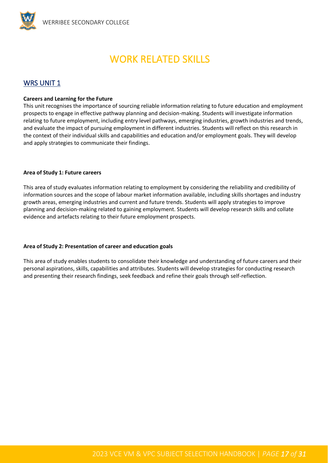## WORK RELATED SKILLS

#### <span id="page-16-0"></span>WRS UNIT 1

#### **Careers and Learning for the Future**

This unit recognises the importance of sourcing reliable information relating to future education and employment prospects to engage in effective pathway planning and decision-making. Students will investigate information relating to future employment, including entry level pathways, emerging industries, growth industries and trends, and evaluate the impact of pursuing employment in different industries. Students will reflect on this research in the context of their individual skills and capabilities and education and/or employment goals. They will develop and apply strategies to communicate their findings.

#### **Area of Study 1: Future careers**

This area of study evaluates information relating to employment by considering the reliability and credibility of information sources and the scope of labour market information available, including skills shortages and industry growth areas, emerging industries and current and future trends. Students will apply strategies to improve planning and decision-making related to gaining employment. Students will develop research skills and collate evidence and artefacts relating to their future employment prospects.

#### **Area of Study 2: Presentation of career and education goals**

This area of study enables students to consolidate their knowledge and understanding of future careers and their personal aspirations, skills, capabilities and attributes. Students will develop strategies for conducting research and presenting their research findings, seek feedback and refine their goals through self-reflection.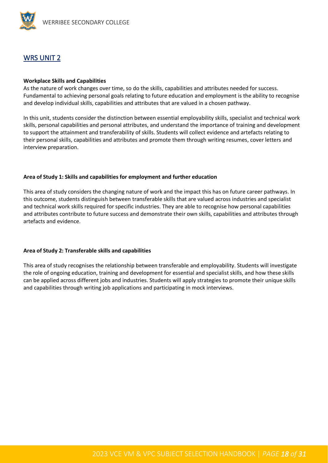

#### WRS UNIT 2

#### **Workplace Skills and Capabilities**

As the nature of work changes over time, so do the skills, capabilities and attributes needed for success. Fundamental to achieving personal goals relating to future education and employment is the ability to recognise and develop individual skills, capabilities and attributes that are valued in a chosen pathway.

In this unit, students consider the distinction between essential employability skills, specialist and technical work skills, personal capabilities and personal attributes, and understand the importance of training and development to support the attainment and transferability of skills. Students will collect evidence and artefacts relating to their personal skills, capabilities and attributes and promote them through writing resumes, cover letters and interview preparation.

#### **Area of Study 1: Skills and capabilities for employment and further education**

This area of study considers the changing nature of work and the impact this has on future career pathways. In this outcome, students distinguish between transferable skills that are valued across industries and specialist and technical work skills required for specific industries. They are able to recognise how personal capabilities and attributes contribute to future success and demonstrate their own skills, capabilities and attributes through artefacts and evidence.

#### **Area of Study 2: Transferable skills and capabilities**

This area of study recognises the relationship between transferable and employability. Students will investigate the role of ongoing education, training and development for essential and specialist skills, and how these skills can be applied across different jobs and industries. Students will apply strategies to promote their unique skills and capabilities through writing job applications and participating in mock interviews.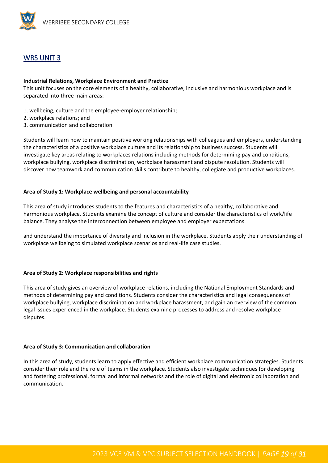

#### WRS UNIT 3

#### **Industrial Relations, Workplace Environment and Practice**

This unit focuses on the core elements of a healthy, collaborative, inclusive and harmonious workplace and is separated into three main areas:

- 1. wellbeing, culture and the employee-employer relationship;
- 2. workplace relations; and
- 3. communication and collaboration.

Students will learn how to maintain positive working relationships with colleagues and employers, understanding the characteristics of a positive workplace culture and its relationship to business success. Students will investigate key areas relating to workplaces relations including methods for determining pay and conditions, workplace bullying, workplace discrimination, workplace harassment and dispute resolution. Students will discover how teamwork and communication skills contribute to healthy, collegiate and productive workplaces.

#### **Area of Study 1: Workplace wellbeing and personal accountability**

This area of study introduces students to the features and characteristics of a healthy, collaborative and harmonious workplace. Students examine the concept of culture and consider the characteristics of work/life balance. They analyse the interconnection between employee and employer expectations

and understand the importance of diversity and inclusion in the workplace. Students apply their understanding of workplace wellbeing to simulated workplace scenarios and real-life case studies.

#### **Area of Study 2: Workplace responsibilities and rights**

This area of study gives an overview of workplace relations, including the National Employment Standards and methods of determining pay and conditions. Students consider the characteristics and legal consequences of workplace bullying, workplace discrimination and workplace harassment, and gain an overview of the common legal issues experienced in the workplace. Students examine processes to address and resolve workplace disputes.

#### **Area of Study 3: Communication and collaboration**

In this area of study, students learn to apply effective and efficient workplace communication strategies. Students consider their role and the role of teams in the workplace. Students also investigate techniques for developing and fostering professional, formal and informal networks and the role of digital and electronic collaboration and communication.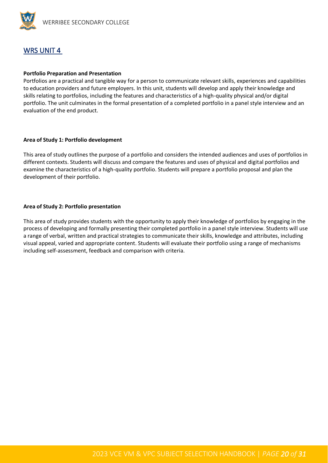

#### WRS UNIT 4

#### **Portfolio Preparation and Presentation**

Portfolios are a practical and tangible way for a person to communicate relevant skills, experiences and capabilities to education providers and future employers. In this unit, students will develop and apply their knowledge and skills relating to portfolios, including the features and characteristics of a high-quality physical and/or digital portfolio. The unit culminates in the formal presentation of a completed portfolio in a panel style interview and an evaluation of the end product.

#### **Area of Study 1: Portfolio development**

This area of study outlines the purpose of a portfolio and considers the intended audiences and uses of portfolios in different contexts. Students will discuss and compare the features and uses of physical and digital portfolios and examine the characteristics of a high-quality portfolio. Students will prepare a portfolio proposal and plan the development of their portfolio.

#### **Area of Study 2: Portfolio presentation**

This area of study provides students with the opportunity to apply their knowledge of portfolios by engaging in the process of developing and formally presenting their completed portfolio in a panel style interview. Students will use a range of verbal, written and practical strategies to communicate their skills, knowledge and attributes, including visual appeal, varied and appropriate content. Students will evaluate their portfolio using a range of mechanisms including self-assessment, feedback and comparison with criteria.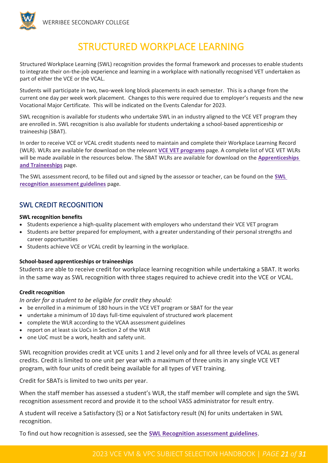<span id="page-20-0"></span>

## STRUCTURED WORKPLACE LEARNING

Structured Workplace Learning (SWL) recognition provides the formal framework and processes to enable students to integrate their on-the-job experience and learning in a workplace with nationally recognised VET undertaken as part of either the VCE or the VCAL.

Students will participate in two, two-week long block placements in each semester. This is a change from the current one day per week work placement. Changes to this were required due to employer's requests and the new Vocational Major Certificate. This will be indicated on the Events Calendar for 2023.

SWL recognition is available for students who undertake SWL in an industry aligned to the VCE VET program they are enrolled in. SWL recognition is also available for students undertaking a school-based apprenticeship or traineeship (SBAT).

In order to receive VCE or VCAL credit students need to maintain and complete their Workplace Learning Record (WLR). WLRs are available for download on the relevant **[VCE VET programs](https://www.vcaa.vic.edu.au/curriculum/vet/vce-vet-programs/Pages/Index.aspx)** page. A complete list of VCE VET WLRs will be made available in the resources below. The SBAT WLRs are available for download on the **[Apprenticeships](https://www.vcaa.vic.edu.au/curriculum/vet/apprenticeships/Pages/index.aspx)  [and Traineeships](https://www.vcaa.vic.edu.au/curriculum/vet/apprenticeships/Pages/index.aspx)** page.

The SWL assessment record, to be filled out and signed by the assessor or teacher, can be found on the **[SWL](https://www.vcaa.vic.edu.au/curriculum/vet/swl-vet/Pages/SWLRecognitionAssessmentGuidelines.aspx)  [recognition assessment guidelines](https://www.vcaa.vic.edu.au/curriculum/vet/swl-vet/Pages/SWLRecognitionAssessmentGuidelines.aspx)** page.

#### SWL CREDIT RECOGNITION

#### **SWL recognition benefits**

- Students experience a high-quality placement with employers who understand their VCE VET program
- Students are better prepared for employment, with a greater understanding of their personal strengths and career opportunities
- Students achieve VCE or VCAL credit by learning in the workplace.

#### **School-based apprenticeships or traineeships**

Students are able to receive credit for workplace learning recognition while undertaking a SBAT. It works in the same way as SWL recognition with three stages required to achieve credit into the VCE or VCAL.

#### **Credit recognition**

*In order for a student to be eligible for credit they should:*

- be enrolled in a minimum of 180 hours in the VCE VET program or SBAT for the year
- undertake a minimum of 10 days full-time equivalent of structured work placement
- complete the WLR according to the VCAA assessment guidelines
- report on at least six UoCs in Section 2 of the WLR
- one UoC must be a work, health and safety unit.

SWL recognition provides credit at VCE units 1 and 2 level only and for all three levels of VCAL as general credits. Credit is limited to one unit per year with a maximum of three units in any single VCE VET program, with four units of credit being available for all types of VET training.

Credit for SBATs is limited to two units per year.

When the staff member has assessed a student's WLR, the staff member will complete and sign the SWL recognition assessment record and provide it to the school VASS administrator for result entry.

A student will receive a Satisfactory (S) or a Not Satisfactory result (N) for units undertaken in SWL recognition.

To find out how recognition is assessed, see the **[SWL Recognition assessment guidelines](https://www.vcaa.vic.edu.au/curriculum/vet/swl-vet/Pages/SWLRecognitionAssessmentGuidelines.aspx)**.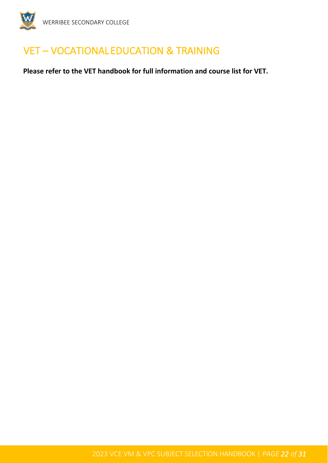

## <span id="page-21-0"></span>VET – VOCATIONAL EDUCATION & TRAINING

**Please refer to the VET handbook for full information and course list for VET.**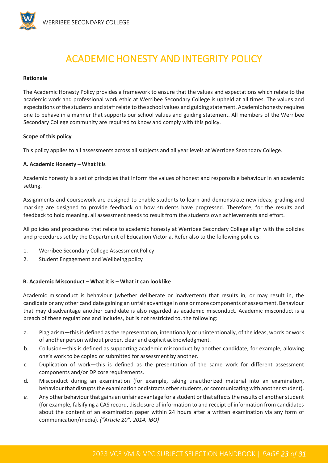

## ACADEMIC HONESTY AND INTEGRITY POLICY

#### <span id="page-22-0"></span>**Rationale**

The Academic Honesty Policy provides a framework to ensure that the values and expectations which relate to the academic work and professional work ethic at Werribee Secondary College is upheld at all times. The values and expectations of the students and staff relate to the school values and guiding statement. Academic honesty requires one to behave in a manner that supports our school values and guiding statement. All members of the Werribee Secondary College community are required to know and comply with this policy.

#### **Scope of this policy**

This policy applies to all assessments across all subjects and all year levels at Werribee Secondary College.

#### **A. Academic Honesty – What it is**

Academic honesty is a set of principles that inform the values of honest and responsible behaviour in an academic setting.

Assignments and coursework are designed to enable students to learn and demonstrate new ideas; grading and marking are designed to provide feedback on how students have progressed. Therefore, for the results and feedback to hold meaning, all assessment needs to result from the students own achievements and effort.

All policies and procedures that relate to academic honesty at Werribee Secondary College align with the policies and procedures set by the Department of Education Victoria. Refer also to the following policies:

- 1. Werribee Secondary College Assessment Policy
- 2. Student Engagement and Wellbeing policy

#### **B. Academic Misconduct – What it is – What it can looklike**

Academic misconduct is behaviour (whether deliberate or inadvertent) that results in, or may result in, the candidate or any other candidate gaining an unfair advantage in one or more components of assessment. Behaviour that may disadvantage another candidate is also regarded as academic misconduct. Academic misconduct is a breach of these regulations and includes, but is not restricted to, the following:

- a. Plagiarism—thisis defined asthe representation, intentionally or unintentionally, of the ideas, words or work of another person without proper, clear and explicit acknowledgment.
- b. Collusion—this is defined as supporting academic misconduct by another candidate, for example, allowing one's work to be copied or submitted for assessment by another.
- c. Duplication of work—this is defined as the presentation of the same work for different assessment components and/or DP core requirements.
- d. Misconduct during an examination (for example, taking unauthorized material into an examination, behaviour that disrupts the examination or distracts other students, or communicating with another student).
- *e.* Any other behaviour that gains an unfair advantage for a student or that affects the results of another student (for example, falsifying a CAS record, disclosure of information to and receipt of information from candidates about the content of an examination paper within 24 hours after a written examination via any form of communication/media). *("Article 20", 2014, IBO)*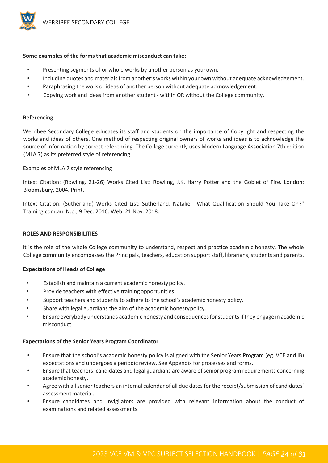

#### **Some examples of the forms that academic misconduct can take:**

- Presenting segments of or whole works by another person as yourown.
- Including quotes and materials from another's works within your own without adequate acknowledgement.
- Paraphrasing the work or ideas of another person without adequate acknowledgement.
- Copying work and ideas from another student within OR without the College community.

#### **Referencing**

Werribee Secondary College educates its staff and students on the importance of Copyright and respecting the works and ideas of others. One method of respecting original owners of works and ideas is to acknowledge the source of information by correct referencing. The College currently uses Modern Language Association 7th edition (MLA 7) as its preferred style of referencing.

#### Examples of MLA 7 style referencing

Intext Citation: (Rowling. 21-26) Works Cited List: Rowling, J.K. Harry Potter and the Goblet of Fire. London: Bloomsbury, 2004. Print.

Intext Citation: (Sutherland) Works Cited List: Sutherland, Natalie. "What Qualification Should You Take On?" Training.com.au. N.p., 9 Dec. 2016. Web. 21 Nov. 2018.

#### **ROLES AND RESPONSIBILITIES**

It is the role of the whole College community to understand, respect and practice academic honesty. The whole College community encompasses the Principals, teachers, education support staff, librarians, students and parents.

#### **Expectations of Heads of College**

- Establish and maintain a current academic honestypolicy.
- Provide teachers with effective training opportunities.
- Support teachers and students to adhere to the school's academic honesty policy.
- Share with legal guardians the aim of the academic honestypolicy.
- Ensure everybody understands academic honesty and consequences for students if they engage in academic misconduct.

#### **Expectations of the Senior Years Program Coordinator**

- Ensure that the school's academic honesty policy is aligned with the Senior Years Program (eg. VCE and IB) expectations and undergoes a periodic review. See Appendix for processes and forms.
- Ensure that teachers, candidates and legal guardians are aware ofsenior program requirements concerning academic honesty.
- Agree with all senior teachers an internal calendar of all due dates for the receipt/submission of candidates' assessmentmaterial.
- Ensure candidates and invigilators are provided with relevant information about the conduct of examinations and related assessments.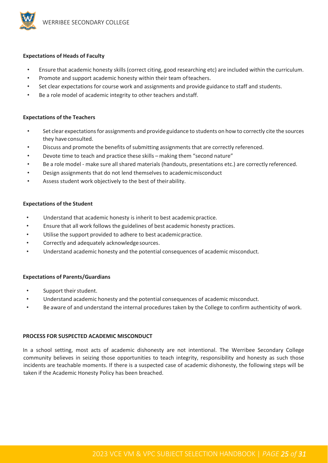

#### **Expectations of Heads of Faculty**

- Ensure that academic honesty skills (correct citing, good researching etc) are included within the curriculum.
- Promote and support academic honesty within their team ofteachers.
- Set clear expectations for course work and assignments and provide guidance to staff and students.
- Be a role model of academic integrity to other teachers and staff.

#### **Expectations of the Teachers**

- Set clear expectationsfor assignments and provide guidance to students on how to correctly cite the sources they have consulted.
- Discuss and promote the benefits of submitting assignments that are correctly referenced.
- Devote time to teach and practice these skills making them "second nature"
- Be a role model make sure all shared materials (handouts, presentations etc.) are correctly referenced.
- Design assignments that do not lend themselves to academicmisconduct
- Assess student work objectively to the best of their ability.

#### **Expectations of the Student**

- Understand that academic honesty is inherit to best academic practice.
- Ensure that all work follows the guidelines of best academic honesty practices.
- Utilise the support provided to adhere to best academic practice.
- Correctly and adequately acknowledge sources.
- Understand academic honesty and the potential consequences of academic misconduct.

#### **Expectations of Parents/Guardians**

- Support their student.
- Understand academic honesty and the potential consequences of academic misconduct.
- Be aware of and understand the internal procedures taken by the College to confirm authenticity of work.

#### **PROCESS FOR SUSPECTED ACADEMIC MISCONDUCT**

In a school setting, most acts of academic dishonesty are not intentional. The Werribee Secondary College community believes in seizing those opportunities to teach integrity, responsibility and honesty as such those incidents are teachable moments. If there is a suspected case of academic dishonesty, the following steps will be taken if the Academic Honesty Policy has been breached.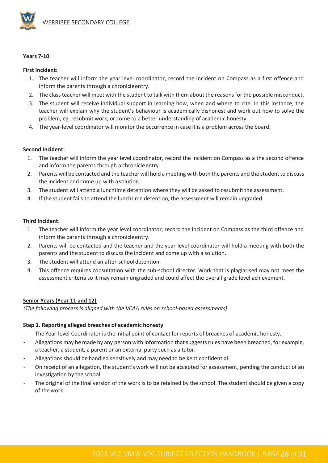

#### **Years 7-10**

#### **First Incident:**

- 1. The teacher will inform the year level coordinator, record the incident on Compass as a first offence and inform the parents through a chronicleentry.
- 2. The class teacher will meet with the student to talk with them about the reasons for the possible misconduct.
- 3. The student will receive individual support in learning how, when and where to cite. In this instance, the teacher will explain why the student's behaviour is academically dishonest and work out how to solve the problem, eg. resubmit work, or come to a better understanding of academic honesty.
- 4. The year-level coordinator will monitor the occurrence in case it is a problem across the board.

#### **Second Incident:**

- 1. The teacher will inform the year level coordinator, record the incident on Compass as a the second offence and inform the parents through a chronicleentry.
- 2. Parents will be contacted and the teacher will hold ameeting with both the parents and the student to discuss the incident and come up with asolution.
- 3. The student will attend a lunchtime detention where they will be asked to resubmit the assessment.
- 4. If the student fails to attend the lunchtime detention, the assessment will remain ungraded.

#### **Third Incident:**

- 1. The teacher will inform the year level coordinator, record the incident on Compass as the third offence and inform the parents through a chronicleentry.
- 2. Parents will be contacted and the teacher and the year-level coordinator will hold a meeting with both the parents and the student to discuss the incident and come up with a solution.
- 3. The student will attend an after-schooldetention.
- 4. This offence requires consultation with the sub-school director. Work that is plagiarised may not meet the assessment criteria so it may remain ungraded and could affect the overall grade level achievement.

#### **Senior Years (Year 11 and 12)**

*(The following process is aligned with the VCAA rules on school-based assessments)*

#### **Step 1. Reporting alleged breaches of academic honesty**

- The Year-level Coordinator is the initial point of contact for reports of breaches of academic honesty.
- Allegations may be made by any person with information that suggests rules have been breached, for example, a teacher, a student, a parent or an external party such as a tutor.
- Allegations should be handled sensitively and may need to be kept confidential.
- On receipt of an allegation, the student's work will not be accepted for assessment, pending the conduct of an investigation by the school.
- The original of the final version of the work is to be retained by the school. The student should be given a copy of the work.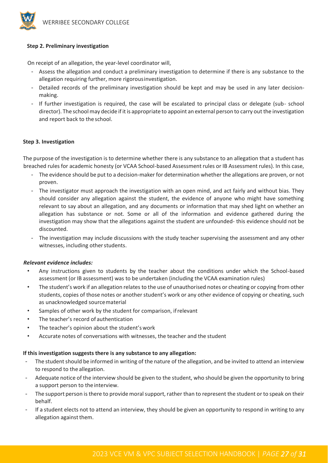

#### **Step 2. Preliminary investigation**

On receipt of an allegation, the year-level coordinator will,

- Assess the allegation and conduct a preliminary investigation to determine if there is any substance to the allegation requiring further, more rigorousinvestigation.
- Detailed records of the preliminary investigation should be kept and may be used in any later decisionmaking.
- If further investigation is required, the case will be escalated to principal class or delegate (sub- school director). The schoolmay decide ifitis appropriate to appoint an external person to carry out the investigation and report back to the school.

#### **Step 3. Investigation**

The purpose of the investigation is to determine whether there is any substance to an allegation that a student has breached rules for academic honesty (or VCAA School-based Assessment rules or IB Assessment rules). In this case,

- The evidence should be put to a decision-maker for determination whether the allegations are proven, or not proven.
- The investigator must approach the investigation with an open mind, and act fairly and without bias. They should consider any allegation against the student, the evidence of anyone who might have something relevant to say about an allegation, and any documents or information that may shed light on whether an allegation has substance or not. Some or all of the information and evidence gathered during the investigation may show that the allegations against the student are unfounded- this evidence should not be discounted.
- The investigation may include discussions with the study teacher supervising the assessment and any other witnesses, including other students.

#### *Relevant evidence includes:*

- Any instructions given to students by the teacher about the conditions under which the School-based assessment (or IB assessment) was to be undertaken (including the VCAA examination rules)
- The student's work if an allegation relates to the use of unauthorised notes or cheating or copying from other students, copies of those notes or another student's work or any other evidence of copying or cheating, such as unacknowledged sourcematerial
- Samples of other work by the student for comparison, if relevant
- The teacher's record of authentication
- The teacher's opinion about the student's work
- Accurate notes of conversations with witnesses, the teacher and the student

#### **If this investigation suggests there is any substance to any allegation:**

- The student should be informed in writing of the nature of the allegation, and be invited to attend an interview to respond to the allegation.
- Adequate notice of the interview should be given to the student, who should be given the opportunity to bring a support person to the interview.
- The support person is there to provide moral support, rather than to represent the student or to speak on their behalf.
- If a student elects not to attend an interview, they should be given an opportunity to respond in writing to any allegation against them.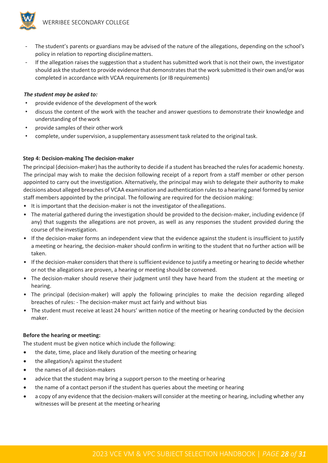

- The student's parents or guardians may be advised of the nature of the allegations, depending on the school's policy in relation to reporting disciplinematters.
- If the allegation raises the suggestion that a student has submitted work that is not their own, the investigator should ask the student to provide evidence that demonstratesthat the work submitted is their own and/or was completed in accordance with VCAA requirements (or IB requirements)

#### *The student may be asked to:*

- provide evidence of the development of thework
- discuss the content of the work with the teacher and answer questions to demonstrate their knowledge and understanding of thework
- provide samples of their other work
- complete, under supervision, a supplementary assessment task related to the original task.

#### **Step 4: Decision-making The decision-maker**

The principal (decision-maker) has the authority to decide if a student has breached the rules for academic honesty. The principal may wish to make the decision following receipt of a report from a staff member or other person appointed to carry out the investigation. Alternatively, the principal may wish to delegate their authority to make decisions about alleged breaches of VCAA examination and authentication rules to a hearing panel formed by senior staff members appointed by the principal. The following are required for the decision making:

- It is important that the decision-maker is not the investigator of theallegations.
- The material gathered during the investigation should be provided to the decision-maker, including evidence (if any) that suggests the allegations are not proven, as well as any responses the student provided during the course of the investigation.
- If the decision-maker forms an independent view that the evidence against the student is insufficient to justify a meeting or hearing, the decision-maker should confirm in writing to the student that no further action will be taken.
- If the decision-maker considers that there is sufficient evidence to justify a meeting or hearing to decide whether or not the allegations are proven, a hearing or meeting should be convened.
- The decision-maker should reserve their judgment until they have heard from the student at the meeting or hearing.
- The principal (decision-maker) will apply the following principles to make the decision regarding alleged breaches of rules: - The decision-maker must act fairly and without bias
- The student must receive at least 24 hours' written notice of the meeting or hearing conducted by the decision maker.

#### **Before the hearing or meeting:**

The student must be given notice which include the following:

- the date, time, place and likely duration of the meeting orhearing
- the allegation/s against the student
- the names of all decision-makers
- advice that the student may bring a support person to the meeting or hearing
- the name of a contact person if the student has queries about the meeting or hearing
- a copy of any evidence that the decision-makers will consider at the meeting or hearing, including whether any witnesses will be present at the meeting orhearing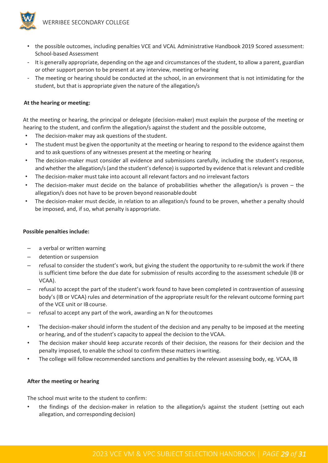

- the possible outcomes, including penalties VCE and VCAL Administrative Handbook 2019 Scored assessment: School-based Assessment
- Itis generally appropriate, depending on the age and circumstances of the student, to allow a parent, guardian or other support person to be present at any interview, meeting orhearing
- The meeting or hearing should be conducted at the school, in an environment that is not intimidating for the student, but that is appropriate given the nature of the allegation/s

#### **At the hearing or meeting:**

At the meeting or hearing, the principal or delegate (decision-maker) must explain the purpose of the meeting or hearing to the student, and confirm the allegation/s against the student and the possible outcome,

- The decision-maker may ask questions of the student.
- The student must be given the opportunity at the meeting or hearing to respond to the evidence against them and to ask questions of any witnesses present at the meeting or hearing
- The decision-maker must consider all evidence and submissions carefully, including the student's response, and whether the allegation/s(and the student's defence) issupported by evidence that is relevant and credible
- The decision-maker must take into account all relevant factors and no irrelevant factors
- The decision-maker must decide on the balance of probabilities whether the allegation/s is proven the allegation/s does not have to be proven beyond reasonabledoubt
- The decision-maker must decide, in relation to an allegation/s found to be proven, whether a penalty should be imposed, and, if so, what penalty is appropriate.

#### **Possible penalties include:**

- a verbal or written warning
- detention or suspension
- refusal to consider the student's work, but giving the student the opportunity to re-submit the work if there is sufficient time before the due date for submission of results according to the assessment schedule (IB or VCAA).
- refusal to accept the part of the student's work found to have been completed in contravention of assessing body's (IB or VCAA) rules and determination of the appropriate result for the relevant outcome forming part of the VCE unit or IB course.
- refusal to accept any part of the work, awarding an N for theoutcomes
- The decision-maker should inform the student of the decision and any penalty to be imposed at the meeting or hearing, and of the student's capacity to appeal the decision to the VCAA.
- The decision maker should keep accurate records of their decision, the reasons for their decision and the penalty imposed, to enable the school to confirm these matters inwriting.
- The college will follow recommended sanctions and penalties by the relevant assessing body, eg. VCAA, IB

#### **After the meeting or hearing**

The school must write to the student to confirm:

the findings of the decision-maker in relation to the allegation/s against the student (setting out each allegation, and corresponding decision)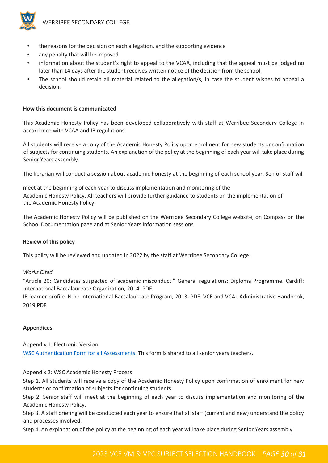

- the reasons for the decision on each allegation, and the supporting evidence
- any penalty that will be imposed
- information about the student's right to appeal to the VCAA, including that the appeal must be lodged no later than 14 days after the student receives written notice of the decision from the school.
- The school should retain all material related to the allegation/s, in case the student wishes to appeal a decision.

#### **How this document is communicated**

This Academic Honesty Policy has been developed collaboratively with staff at Werribee Secondary College in accordance with VCAA and IB regulations.

All students will receive a copy of the Academic Honesty Policy upon enrolment for new students or confirmation of subjects for continuing students. An explanation of the policy at the beginning of each year will take place during Senior Years assembly.

The librarian will conduct a session about academic honesty at the beginning of each school year. Senior staff will

meet at the beginning of each year to discuss implementation and monitoring of the Academic Honesty Policy. All teachers will provide further guidance to students on the implementation of the Academic Honesty Policy.

The Academic Honesty Policy will be published on the Werribee Secondary College website, on Compass on the School Documentation page and at Senior Years information sessions.

#### **Review of this policy**

This policy will be reviewed and updated in 2022 by the staff at Werribee Secondary College.

#### *Works Cited*

"Article 20: Candidates suspected of academic misconduct." General regulations: Diploma Programme. Cardiff: International Baccalaureate Organization, 2014. PDF.

IB learner profile. N.p.: International Baccalaureate Program, 2013. PDF. VCE and VCAL Administrative Handbook, 2019.PDF

#### **Appendices**

Appendix 1: Electronic Version [WSC Authentication Form for all Assessments.](https://forms.office.com/Pages/ResponsePage.aspx?id=6xmIQUMh5kq_TOhVX16JLWz8I7z-17BIrR8nZQXrLyZUNVQ1MTZRWlAzTlcwUEQxRUtSVFNaRDFOUC4u) This form is shared to all senior years teachers.

Appendix 2: WSC Academic Honesty Process

Step 1. All students will receive a copy of the Academic Honesty Policy upon confirmation of enrolment for new students or confirmation of subjects for continuing students.

Step 2. Senior staff will meet at the beginning of each year to discuss implementation and monitoring of the Academic Honesty Policy.

Step 3. A staff briefing will be conducted each year to ensure that all staff (current and new) understand the policy and processes involved.

Step 4. An explanation of the policy at the beginning of each year will take place during Senior Years assembly.